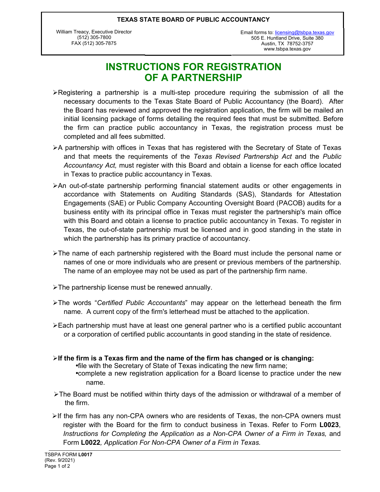#### **TEXAS STATE BOARD OF PUBLIC ACCOUNTANCY**

William Treacy, Executive Director (512) 305-7800 FAX (512) 305-7875

505 E. Huntland Drive, Suite 380 Austin, TX 78752-3757 www.tsbpa.texas.gov Email forms to: [licensing@tsbpa.texas.gov](mailto:licensing@tsbpa.texas.gov)

# **INSTRUCTIONS FOR REGISTRATION OF A PARTNERSHIP**

- $\triangleright$  Registering a partnership is a multi-step procedure requiring the submission of all the necessary documents to the Texas State Board of Public Accountancy (the Board). After the Board has reviewed and approved the registration application, the firm will be mailed an initial licensing package of forms detailing the required fees that must be submitted. Before the firm can practice public accountancy in Texas, the registration process must be completed and all fees submitted.
- $\triangleright$ A partnership with offices in Texas that has registered with the Secretary of State of Texas and that meets the requirements of the *Texas Revised Partnership Act* and the *Public Accountancy Act,* must register with this Board and obtain a license for each office located in Texas to practice public accountancy in Texas*.*
- ÿAn out-of-state partnership performing financial statement audits or other engagements in accordance with Statements on Auditing Standards (SAS), Standards for Attestation Engagements (SAE) or Public Company Accounting Oversight Board (PACOB) audits for a business entity with its principal office in Texas must register the partnership's main office with this Board and obtain a license to practice public accountancy in Texas. To register in Texas, the out-of-state partnership must be licensed and in good standing in the state in which the partnership has its primary practice of accountancy.
- $\triangleright$ The name of each partnership registered with the Board must include the personal name or names of one or more individuals who are present or previous members of the partnership. The name of an employee may not be used as part of the partnership firm name.
- $\triangleright$ The partnership license must be renewed annually.
- ÿThe words "*Certified Public Accountants*" may appear on the letterhead beneath the firm name. A current copy of the firm's letterhead must be attached to the application.
- ÿEach partnership must have at least one general partner who is a certified public accountant or a corporation of certified public accountants in good standing in the state of residence.
- ÿ**If the firm is a Texas firm and the name of the firm has changed or is changing:** •file with the Secretary of State of Texas indicating the new firm name; •complete a new registration application for a Board license to practice under the new name.
- $\triangleright$  The Board must be notified within thirty days of the admission or withdrawal of a member of the firm.
- $\triangleright$ If the firm has any non-CPA owners who are residents of Texas, the non-CPA owners must register with the Board for the firm to conduct business in Texas. Refer to Form **L0023**, *Instructions for Completing the Application as a Non-CPA Owner of a Firm in Texas,* and Form **L0022***, Application For Non-CPA Owner of a Firm in Texas.*